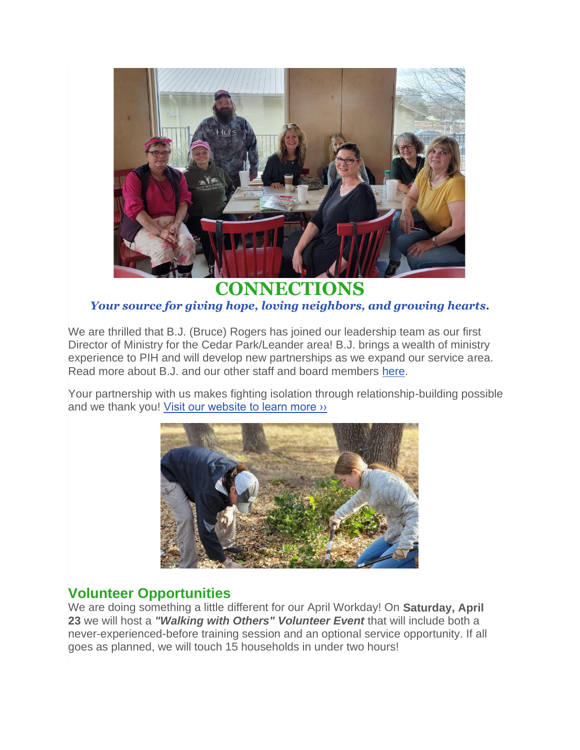

**CONNECTIONS** *Your source for giving hope, loving neighbors, and growing hearts.*

We are thrilled that B.J. (Bruce) Rogers has joined our leadership team as our first Director of Ministry for the Cedar Park/Leander area! B.J. brings a wealth of ministry experience to PIH and will develop new partnerships as we expand our service area. Read more about B.J. and our other staff and board members [here.](https://pihtx.org/leadership-team/)

Your partnership with us makes fighting isolation through relationship-building possible and we thank you! [Visit our website to learn more ››](https://pihtx.org/)



# **Volunteer Opportunities**

We are doing something a little different for our April Workday! On **Saturday, April 23** we will host a *"Walking with Others" Volunteer Event* that will include both a never-experienced-before training session and an optional service opportunity. If all goes as planned, we will touch 15 households in under two hours!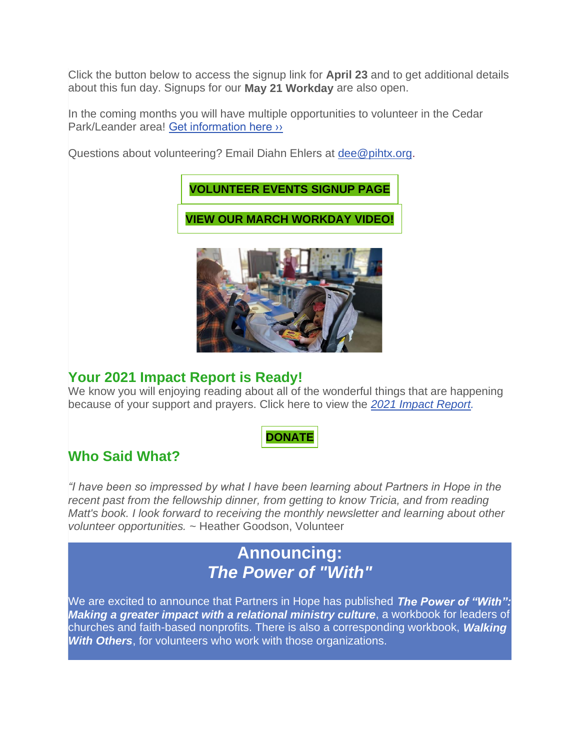Click the button below to access the signup link for **April 23** and to get additional details about this fun day. Signups for our **May 21 Workday** are also open.

In the coming months you will have multiple opportunities to volunteer in the Cedar Park/Leander area! [Get information here ››](https://pihtx.org/volunteer-cpl/)

Questions about volunteering? Email Diahn Ehlers at [dee@pihtx.org.](mailto:dee@pihtx.org?subject=Volunteer%20Questions)



### **Your 2021 Impact Report is Ready!**

We know you will enjoying reading about all of the wonderful things that are happening because of your support and prayers. Click here to view the *[2021 Impact Report.](https://pihtx.org/wp-content/uploads/2022/03/0324_PIH-2021-Impact-Report_Digital_Compressed.pdf)*

### **[DONATE](https://pihtx.org/donate/)**

# **Who Said What?**

*"I have been so impressed by what I have been learning about Partners in Hope in the recent past from the fellowship dinner, from getting to know Tricia, and from reading Matt's book. I look forward to receiving the monthly newsletter and learning about other volunteer opportunities. ~* Heather Goodson, Volunteer

# **Announcing:** *The Power of "With"*

We are excited to announce that Partners in Hope has published *The Power of "With": Making a greater impact with a relational ministry culture*, a workbook for leaders of churches and faith-based nonprofits. There is also a corresponding workbook, *Walking With Others*, for volunteers who work with those organizations.